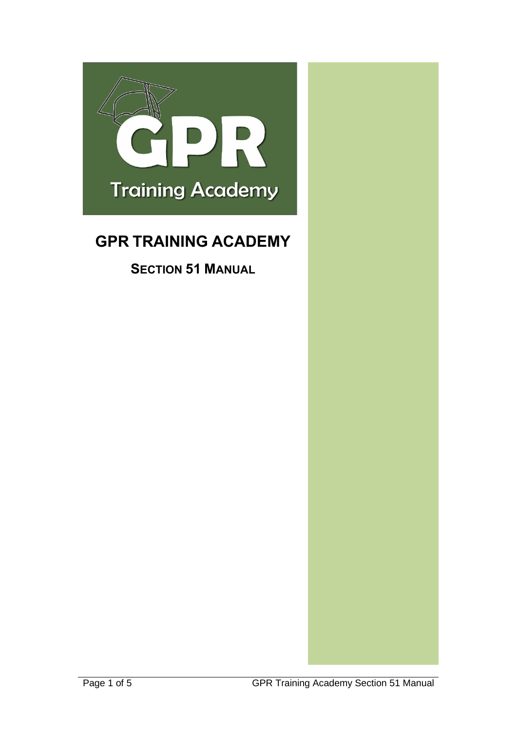

# <span id="page-0-0"></span>**GPR TRAINING ACADEMY**

**SECTION 51 MANUAL**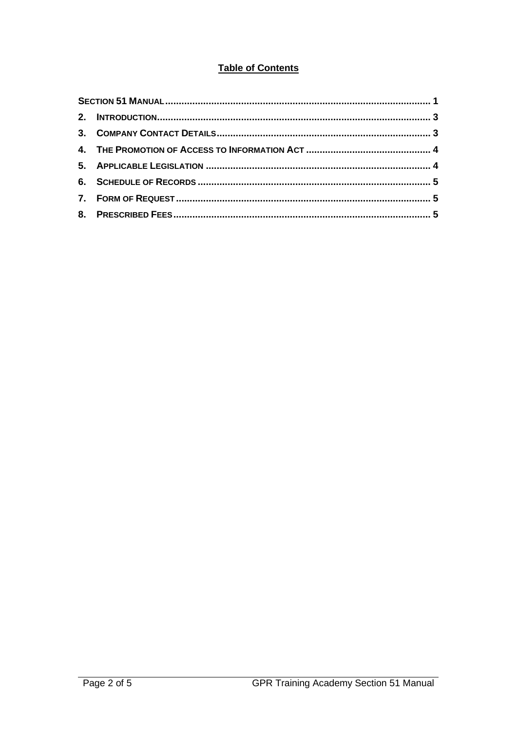## **Table of Contents**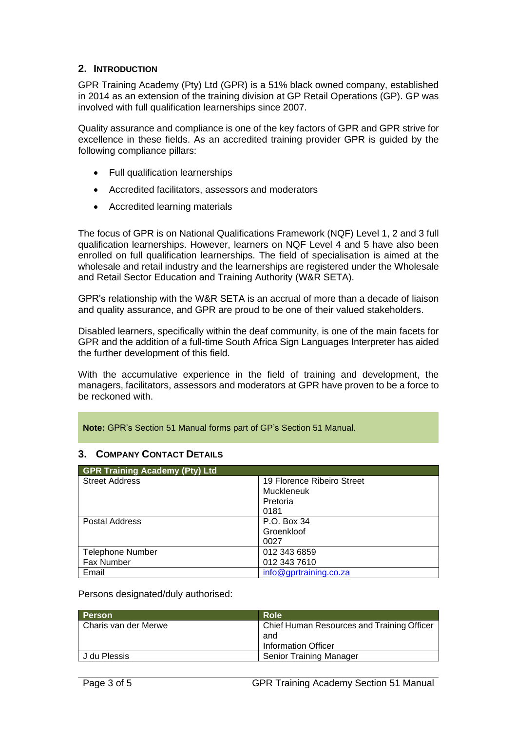#### <span id="page-2-0"></span>**2. INTRODUCTION**

GPR Training Academy (Pty) Ltd (GPR) is a 51% black owned company, established in 2014 as an extension of the training division at GP Retail Operations (GP). GP was involved with full qualification learnerships since 2007.

Quality assurance and compliance is one of the key factors of GPR and GPR strive for excellence in these fields. As an accredited training provider GPR is guided by the following compliance pillars:

- Full qualification learnerships
- Accredited facilitators, assessors and moderators
- Accredited learning materials

The focus of GPR is on National Qualifications Framework (NQF) Level 1, 2 and 3 full qualification learnerships. However, learners on NQF Level 4 and 5 have also been enrolled on full qualification learnerships. The field of specialisation is aimed at the wholesale and retail industry and the learnerships are registered under the Wholesale and Retail Sector Education and Training Authority (W&R SETA).

GPR's relationship with the W&R SETA is an accrual of more than a decade of liaison and quality assurance, and GPR are proud to be one of their valued stakeholders.

Disabled learners, specifically within the deaf community, is one of the main facets for GPR and the addition of a full-time South Africa Sign Languages Interpreter has aided the further development of this field.

With the accumulative experience in the field of training and development, the managers, facilitators, assessors and moderators at GPR have proven to be a force to be reckoned with.

**Note:** GPR's Section 51 Manual forms part of GP's Section 51 Manual.

#### <span id="page-2-1"></span>**3. COMPANY CONTACT DETAILS**

| <b>GPR Training Academy (Pty) Ltd</b> |                            |  |  |  |
|---------------------------------------|----------------------------|--|--|--|
| <b>Street Address</b>                 | 19 Florence Ribeiro Street |  |  |  |
|                                       | Muckleneuk                 |  |  |  |
|                                       | Pretoria                   |  |  |  |
|                                       | 0181                       |  |  |  |
| Postal Address                        | P.O. Box 34                |  |  |  |
|                                       | Groenkloof                 |  |  |  |
|                                       | 0027                       |  |  |  |
| Telephone Number                      | 012 343 6859               |  |  |  |
| Fax Number                            | 012 343 7610               |  |  |  |
| Email                                 | info@gprtraining.co.za     |  |  |  |

Persons designated/duly authorised:

| <b>Person</b>        | <b>Role</b>                                                                     |
|----------------------|---------------------------------------------------------------------------------|
| Charis van der Merwe | Chief Human Resources and Training Officer<br>and<br><b>Information Officer</b> |
| J du Plessis         | <b>Senior Training Manager</b>                                                  |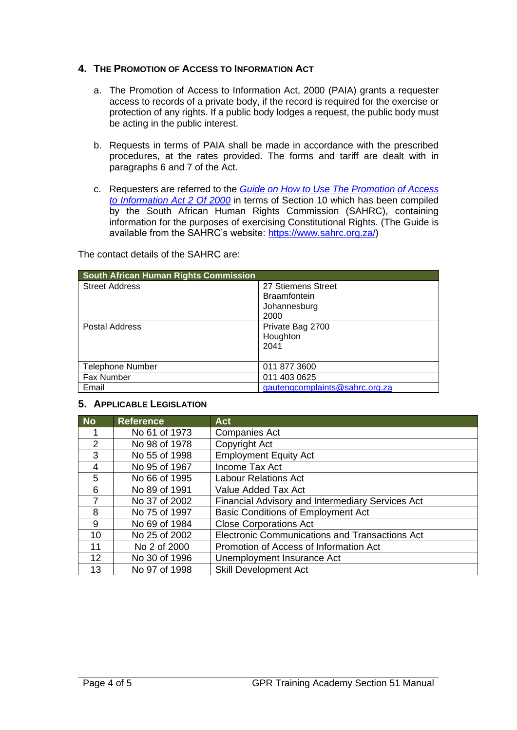#### <span id="page-3-0"></span>**4. THE PROMOTION OF ACCESS TO INFORMATION ACT**

- a. The Promotion of Access to Information Act, 2000 (PAIA) grants a requester access to records of a private body, if the record is required for the exercise or protection of any rights. If a public body lodges a request, the public body must be acting in the public interest.
- b. Requests in terms of PAIA shall be made in accordance with the prescribed procedures, at the rates provided. The forms and tariff are dealt with in paragraphs 6 and 7 of the Act.
- c. Requesters are referred to the *[Guide on How to Use The Promotion of Access](https://www.sahrc.org.za/home/21/files/Section%2010%20guide%202014.pdf)  [to Information Act 2 Of 2000](https://www.sahrc.org.za/home/21/files/Section%2010%20guide%202014.pdf)* in terms of Section 10 which has been compiled by the South African Human Rights Commission (SAHRC), containing information for the purposes of exercising Constitutional Rights. (The Guide is available from the SAHRC's website: [https://www.sahrc.org.za/\)](https://www.sahrc.org.za/)

The contact details of the SAHRC are:

| <b>South African Human Rights Commission</b> |                                |  |  |  |
|----------------------------------------------|--------------------------------|--|--|--|
| <b>Street Address</b>                        | 27 Stiemens Street             |  |  |  |
|                                              | <b>Braamfontein</b>            |  |  |  |
|                                              | Johannesburg                   |  |  |  |
|                                              | 2000                           |  |  |  |
| <b>Postal Address</b>                        | Private Bag 2700               |  |  |  |
|                                              | Houghton                       |  |  |  |
|                                              | 2041                           |  |  |  |
|                                              |                                |  |  |  |
| <b>Telephone Number</b>                      | 011 877 3600                   |  |  |  |
| Fax Number                                   | 011 403 0625                   |  |  |  |
| Email                                        | gautengcomplaints@sahrc.org.za |  |  |  |

#### <span id="page-3-1"></span>**5. APPLICABLE LEGISLATION**

| <b>No</b>      | <b>Reference</b> | <b>Act</b>                                            |
|----------------|------------------|-------------------------------------------------------|
|                | No 61 of 1973    | <b>Companies Act</b>                                  |
| 2              | No 98 of 1978    | Copyright Act                                         |
| 3              | No 55 of 1998    | <b>Employment Equity Act</b>                          |
| 4              | No 95 of 1967    | Income Tax Act                                        |
| 5              | No 66 of 1995    | <b>Labour Relations Act</b>                           |
| 6              | No 89 of 1991    | Value Added Tax Act                                   |
| $\overline{7}$ | No 37 of 2002    | Financial Advisory and Intermediary Services Act      |
| 8              | No 75 of 1997    | <b>Basic Conditions of Employment Act</b>             |
| 9              | No 69 of 1984    | <b>Close Corporations Act</b>                         |
| 10             | No 25 of 2002    | <b>Electronic Communications and Transactions Act</b> |
| 11             | No 2 of 2000     | Promotion of Access of Information Act                |
| 12             | No 30 of 1996    | Unemployment Insurance Act                            |
| 13             | No 97 of 1998    | <b>Skill Development Act</b>                          |